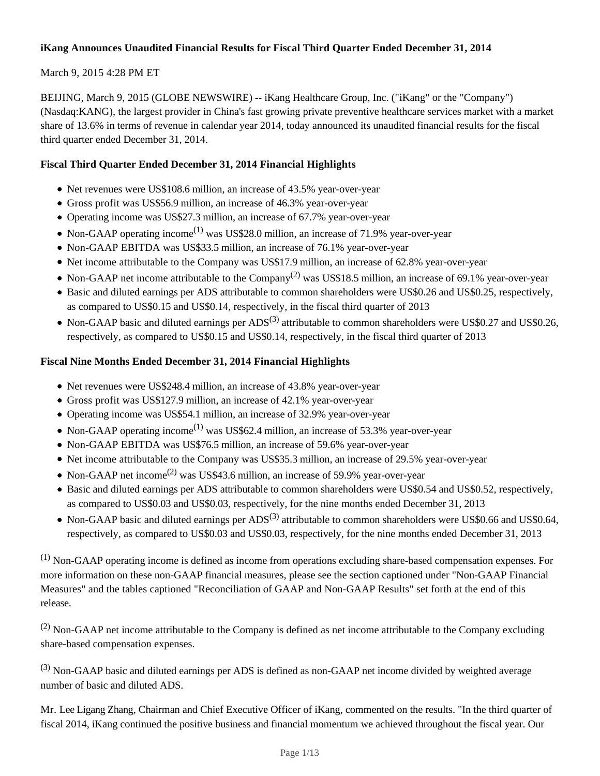## **iKang Announces Unaudited Financial Results for Fiscal Third Quarter Ended December 31, 2014**

## March 9, 2015 4:28 PM ET

BEIJING, March 9, 2015 (GLOBE NEWSWIRE) -- iKang Healthcare Group, Inc. ("iKang" or the "Company") (Nasdaq:KANG), the largest provider in China's fast growing private preventive healthcare services market with a market share of 13.6% in terms of revenue in calendar year 2014, today announced its unaudited financial results for the fiscal third quarter ended December 31, 2014.

## **Fiscal Third Quarter Ended December 31, 2014 Financial Highlights**

- Net revenues were US\$108.6 million, an increase of 43.5% year-over-year
- Gross profit was US\$56.9 million, an increase of 46.3% year-over-year
- Operating income was US\$27.3 million, an increase of 67.7% year-over-year
- Non-GAAP operating income<sup>(1)</sup> was US\$28.0 million, an increase of 71.9% year-over-year
- Non-GAAP EBITDA was US\$33.5 million, an increase of 76.1% year-over-year
- Net income attributable to the Company was US\$17.9 million, an increase of 62.8% year-over-year
- Non-GAAP net income attributable to the Company<sup>(2)</sup> was US\$18.5 million, an increase of 69.1% year-over-year
- Basic and diluted earnings per ADS attributable to common shareholders were US\$0.26 and US\$0.25, respectively, as compared to US\$0.15 and US\$0.14, respectively, in the fiscal third quarter of 2013
- Non-GAAP basic and diluted earnings per  $ADS^{(3)}$  attributable to common shareholders were US\$0.27 and US\$0.26, respectively, as compared to US\$0.15 and US\$0.14, respectively, in the fiscal third quarter of 2013

## **Fiscal Nine Months Ended December 31, 2014 Financial Highlights**

- Net revenues were US\$248.4 million, an increase of 43.8% year-over-year
- Gross profit was US\$127.9 million, an increase of 42.1% year-over-year
- Operating income was US\$54.1 million, an increase of 32.9% year-over-year
- Non-GAAP operating income<sup>(1)</sup> was US\$62.4 million, an increase of 53.3% year-over-year
- Non-GAAP EBITDA was US\$76.5 million, an increase of 59.6% year-over-year
- Net income attributable to the Company was US\$35.3 million, an increase of 29.5% year-over-year
- Non-GAAP net income<sup>(2)</sup> was US\$43.6 million, an increase of 59.9% year-over-year
- Basic and diluted earnings per ADS attributable to common shareholders were US\$0.54 and US\$0.52, respectively, as compared to US\$0.03 and US\$0.03, respectively, for the nine months ended December 31, 2013
- Non-GAAP basic and diluted earnings per  $ADS^{(3)}$  attributable to common shareholders were US\$0.66 and US\$0.64, respectively, as compared to US\$0.03 and US\$0.03, respectively, for the nine months ended December 31, 2013

 $<sup>(1)</sup>$  Non-GAAP operating income is defined as income from operations excluding share-based compensation expenses. For</sup> more information on these non-GAAP financial measures, please see the section captioned under "Non-GAAP Financial Measures" and the tables captioned "Reconciliation of GAAP and Non-GAAP Results" set forth at the end of this release.

 $(2)$  Non-GAAP net income attributable to the Company is defined as net income attributable to the Company excluding share-based compensation expenses.

(3) Non-GAAP basic and diluted earnings per ADS is defined as non-GAAP net income divided by weighted average number of basic and diluted ADS.

Mr. Lee Ligang Zhang, Chairman and Chief Executive Officer of iKang, commented on the results. "In the third quarter of fiscal 2014, iKang continued the positive business and financial momentum we achieved throughout the fiscal year. Our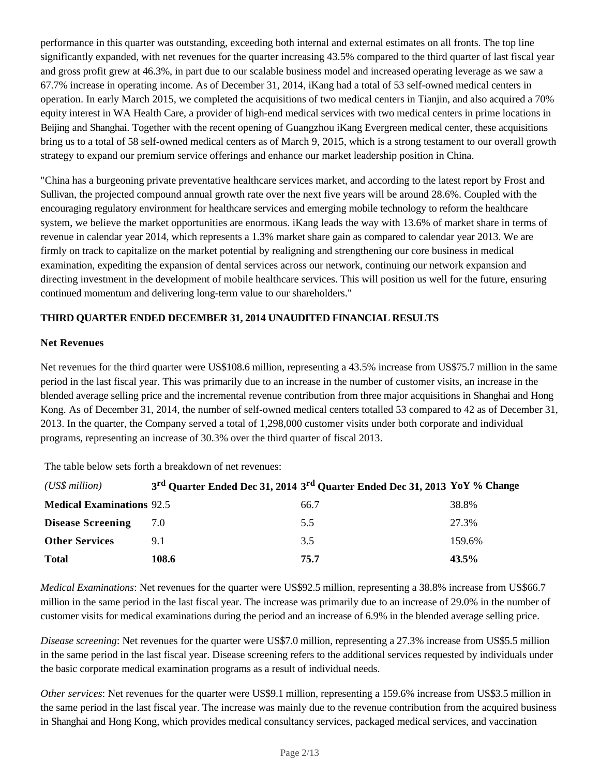performance in this quarter was outstanding, exceeding both internal and external estimates on all fronts. The top line significantly expanded, with net revenues for the quarter increasing 43.5% compared to the third quarter of last fiscal year and gross profit grew at 46.3%, in part due to our scalable business model and increased operating leverage as we saw a 67.7% increase in operating income. As of December 31, 2014, iKang had a total of 53 self-owned medical centers in operation. In early March 2015, we completed the acquisitions of two medical centers in Tianjin, and also acquired a 70% equity interest in WA Health Care, a provider of high-end medical services with two medical centers in prime locations in Beijing and Shanghai. Together with the recent opening of Guangzhou iKang Evergreen medical center, these acquisitions bring us to a total of 58 self-owned medical centers as of March 9, 2015, which is a strong testament to our overall growth strategy to expand our premium service offerings and enhance our market leadership position in China.

"China has a burgeoning private preventative healthcare services market, and according to the latest report by Frost and Sullivan, the projected compound annual growth rate over the next five years will be around 28.6%. Coupled with the encouraging regulatory environment for healthcare services and emerging mobile technology to reform the healthcare system, we believe the market opportunities are enormous. iKang leads the way with 13.6% of market share in terms of revenue in calendar year 2014, which represents a 1.3% market share gain as compared to calendar year 2013. We are firmly on track to capitalize on the market potential by realigning and strengthening our core business in medical examination, expediting the expansion of dental services across our network, continuing our network expansion and directing investment in the development of mobile healthcare services. This will position us well for the future, ensuring continued momentum and delivering long-term value to our shareholders."

## **THIRD QUARTER ENDED DECEMBER 31, 2014 UNAUDITED FINANCIAL RESULTS**

## **Net Revenues**

Net revenues for the third quarter were US\$108.6 million, representing a 43.5% increase from US\$75.7 million in the same period in the last fiscal year. This was primarily due to an increase in the number of customer visits, an increase in the blended average selling price and the incremental revenue contribution from three major acquisitions in Shanghai and Hong Kong. As of December 31, 2014, the number of self-owned medical centers totalled 53 compared to 42 as of December 31, 2013. In the quarter, the Company served a total of 1,298,000 customer visits under both corporate and individual programs, representing an increase of 30.3% over the third quarter of fiscal 2013.

The table below sets forth a breakdown of net revenues:

| (US\$ million)                   | 3 <sup>rd</sup> Quarter Ended Dec 31, 2014 3 <sup>rd</sup> Quarter Ended Dec 31, 2013 YoY % Change |      |        |
|----------------------------------|----------------------------------------------------------------------------------------------------|------|--------|
| <b>Medical Examinations 92.5</b> |                                                                                                    | 66.7 | 38.8%  |
| <b>Disease Screening</b>         | 7.0                                                                                                | 5.5  | 27.3%  |
| <b>Other Services</b>            | 91                                                                                                 | 3.5  | 159.6% |
| <b>Total</b>                     | 108.6                                                                                              | 75.7 | 43.5%  |

*Medical Examinations*: Net revenues for the quarter were US\$92.5 million, representing a 38.8% increase from US\$66.7 million in the same period in the last fiscal year. The increase was primarily due to an increase of 29.0% in the number of customer visits for medical examinations during the period and an increase of 6.9% in the blended average selling price.

*Disease screening*: Net revenues for the quarter were US\$7.0 million, representing a 27.3% increase from US\$5.5 million in the same period in the last fiscal year. Disease screening refers to the additional services requested by individuals under the basic corporate medical examination programs as a result of individual needs.

*Other services*: Net revenues for the quarter were US\$9.1 million, representing a 159.6% increase from US\$3.5 million in the same period in the last fiscal year. The increase was mainly due to the revenue contribution from the acquired business in Shanghai and Hong Kong, which provides medical consultancy services, packaged medical services, and vaccination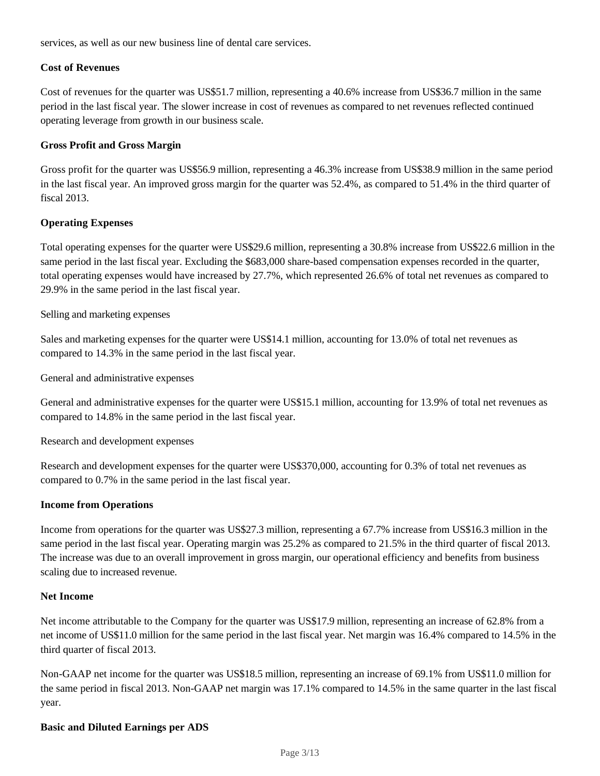services, as well as our new business line of dental care services.

#### **Cost of Revenues**

Cost of revenues for the quarter was US\$51.7 million, representing a 40.6% increase from US\$36.7 million in the same period in the last fiscal year. The slower increase in cost of revenues as compared to net revenues reflected continued operating leverage from growth in our business scale.

#### **Gross Profit and Gross Margin**

Gross profit for the quarter was US\$56.9 million, representing a 46.3% increase from US\$38.9 million in the same period in the last fiscal year. An improved gross margin for the quarter was 52.4%, as compared to 51.4% in the third quarter of fiscal 2013.

## **Operating Expenses**

Total operating expenses for the quarter were US\$29.6 million, representing a 30.8% increase from US\$22.6 million in the same period in the last fiscal year. Excluding the \$683,000 share-based compensation expenses recorded in the quarter, total operating expenses would have increased by 27.7%, which represented 26.6% of total net revenues as compared to 29.9% in the same period in the last fiscal year.

#### Selling and marketing expenses

Sales and marketing expenses for the quarter were US\$14.1 million, accounting for 13.0% of total net revenues as compared to 14.3% in the same period in the last fiscal year.

General and administrative expenses

General and administrative expenses for the quarter were US\$15.1 million, accounting for 13.9% of total net revenues as compared to 14.8% in the same period in the last fiscal year.

Research and development expenses

Research and development expenses for the quarter were US\$370,000, accounting for 0.3% of total net revenues as compared to 0.7% in the same period in the last fiscal year.

#### **Income from Operations**

Income from operations for the quarter was US\$27.3 million, representing a 67.7% increase from US\$16.3 million in the same period in the last fiscal year. Operating margin was 25.2% as compared to 21.5% in the third quarter of fiscal 2013. The increase was due to an overall improvement in gross margin, our operational efficiency and benefits from business scaling due to increased revenue.

#### **Net Income**

Net income attributable to the Company for the quarter was US\$17.9 million, representing an increase of 62.8% from a net income of US\$11.0 million for the same period in the last fiscal year. Net margin was 16.4% compared to 14.5% in the third quarter of fiscal 2013.

Non-GAAP net income for the quarter was US\$18.5 million, representing an increase of 69.1% from US\$11.0 million for the same period in fiscal 2013. Non-GAAP net margin was 17.1% compared to 14.5% in the same quarter in the last fiscal year.

#### **Basic and Diluted Earnings per ADS**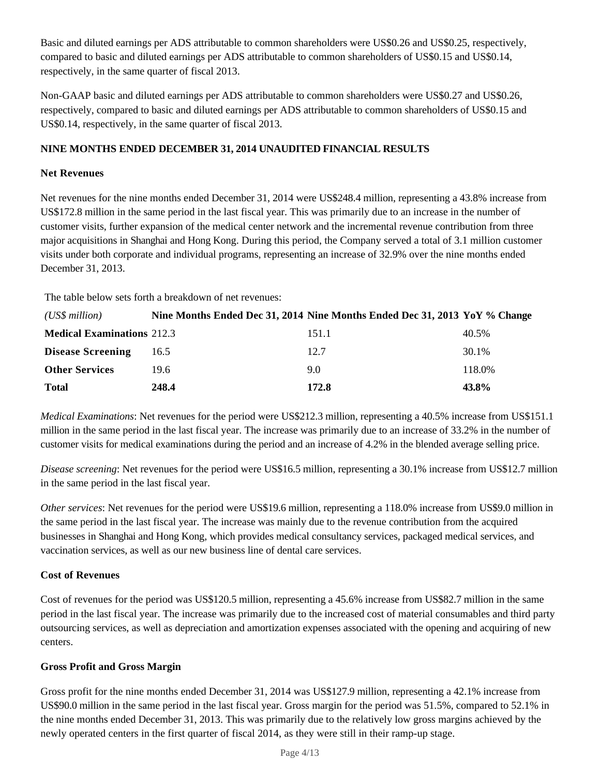Basic and diluted earnings per ADS attributable to common shareholders were US\$0.26 and US\$0.25, respectively, compared to basic and diluted earnings per ADS attributable to common shareholders of US\$0.15 and US\$0.14, respectively, in the same quarter of fiscal 2013.

Non-GAAP basic and diluted earnings per ADS attributable to common shareholders were US\$0.27 and US\$0.26, respectively, compared to basic and diluted earnings per ADS attributable to common shareholders of US\$0.15 and US\$0.14, respectively, in the same quarter of fiscal 2013.

## **NINE MONTHS ENDED DECEMBER 31, 2014 UNAUDITED FINANCIAL RESULTS**

## **Net Revenues**

Net revenues for the nine months ended December 31, 2014 were US\$248.4 million, representing a 43.8% increase from US\$172.8 million in the same period in the last fiscal year. This was primarily due to an increase in the number of customer visits, further expansion of the medical center network and the incremental revenue contribution from three major acquisitions in Shanghai and Hong Kong. During this period, the Company served a total of 3.1 million customer visits under both corporate and individual programs, representing an increase of 32.9% over the nine months ended December 31, 2013.

The table below sets forth a breakdown of net revenues:

| (US\$ million)                    |       | Nine Months Ended Dec 31, 2014 Nine Months Ended Dec 31, 2013 YoY % Change |        |
|-----------------------------------|-------|----------------------------------------------------------------------------|--------|
| <b>Medical Examinations 212.3</b> |       | 151.1                                                                      | 40.5%  |
| <b>Disease Screening</b>          | 16.5  | 12.7                                                                       | 30.1%  |
| <b>Other Services</b>             | 19.6  | 9.0                                                                        | 118.0% |
| <b>Total</b>                      | 248.4 | 172.8                                                                      | 43.8%  |

*Medical Examinations*: Net revenues for the period were US\$212.3 million, representing a 40.5% increase from US\$151.1 million in the same period in the last fiscal year. The increase was primarily due to an increase of 33.2% in the number of customer visits for medical examinations during the period and an increase of 4.2% in the blended average selling price.

*Disease screening*: Net revenues for the period were US\$16.5 million, representing a 30.1% increase from US\$12.7 million in the same period in the last fiscal year.

*Other services*: Net revenues for the period were US\$19.6 million, representing a 118.0% increase from US\$9.0 million in the same period in the last fiscal year. The increase was mainly due to the revenue contribution from the acquired businesses in Shanghai and Hong Kong, which provides medical consultancy services, packaged medical services, and vaccination services, as well as our new business line of dental care services.

## **Cost of Revenues**

Cost of revenues for the period was US\$120.5 million, representing a 45.6% increase from US\$82.7 million in the same period in the last fiscal year. The increase was primarily due to the increased cost of material consumables and third party outsourcing services, as well as depreciation and amortization expenses associated with the opening and acquiring of new centers.

#### **Gross Profit and Gross Margin**

Gross profit for the nine months ended December 31, 2014 was US\$127.9 million, representing a 42.1% increase from US\$90.0 million in the same period in the last fiscal year. Gross margin for the period was 51.5%, compared to 52.1% in the nine months ended December 31, 2013. This was primarily due to the relatively low gross margins achieved by the newly operated centers in the first quarter of fiscal 2014, as they were still in their ramp-up stage.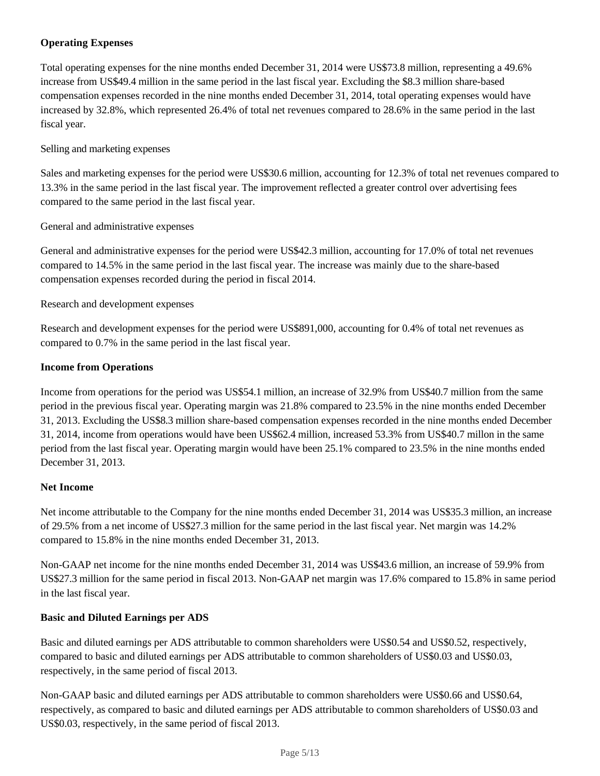## **Operating Expenses**

Total operating expenses for the nine months ended December 31, 2014 were US\$73.8 million, representing a 49.6% increase from US\$49.4 million in the same period in the last fiscal year. Excluding the \$8.3 million share-based compensation expenses recorded in the nine months ended December 31, 2014, total operating expenses would have increased by 32.8%, which represented 26.4% of total net revenues compared to 28.6% in the same period in the last fiscal year.

## Selling and marketing expenses

Sales and marketing expenses for the period were US\$30.6 million, accounting for 12.3% of total net revenues compared to 13.3% in the same period in the last fiscal year. The improvement reflected a greater control over advertising fees compared to the same period in the last fiscal year.

## General and administrative expenses

General and administrative expenses for the period were US\$42.3 million, accounting for 17.0% of total net revenues compared to 14.5% in the same period in the last fiscal year. The increase was mainly due to the share-based compensation expenses recorded during the period in fiscal 2014.

## Research and development expenses

Research and development expenses for the period were US\$891,000, accounting for 0.4% of total net revenues as compared to 0.7% in the same period in the last fiscal year.

#### **Income from Operations**

Income from operations for the period was US\$54.1 million, an increase of 32.9% from US\$40.7 million from the same period in the previous fiscal year. Operating margin was 21.8% compared to 23.5% in the nine months ended December 31, 2013. Excluding the US\$8.3 million share-based compensation expenses recorded in the nine months ended December 31, 2014, income from operations would have been US\$62.4 million, increased 53.3% from US\$40.7 millon in the same period from the last fiscal year. Operating margin would have been 25.1% compared to 23.5% in the nine months ended December 31, 2013.

## **Net Income**

Net income attributable to the Company for the nine months ended December 31, 2014 was US\$35.3 million, an increase of 29.5% from a net income of US\$27.3 million for the same period in the last fiscal year. Net margin was 14.2% compared to 15.8% in the nine months ended December 31, 2013.

Non-GAAP net income for the nine months ended December 31, 2014 was US\$43.6 million, an increase of 59.9% from US\$27.3 million for the same period in fiscal 2013. Non-GAAP net margin was 17.6% compared to 15.8% in same period in the last fiscal year.

## **Basic and Diluted Earnings per ADS**

Basic and diluted earnings per ADS attributable to common shareholders were US\$0.54 and US\$0.52, respectively, compared to basic and diluted earnings per ADS attributable to common shareholders of US\$0.03 and US\$0.03, respectively, in the same period of fiscal 2013.

Non-GAAP basic and diluted earnings per ADS attributable to common shareholders were US\$0.66 and US\$0.64, respectively, as compared to basic and diluted earnings per ADS attributable to common shareholders of US\$0.03 and US\$0.03, respectively, in the same period of fiscal 2013.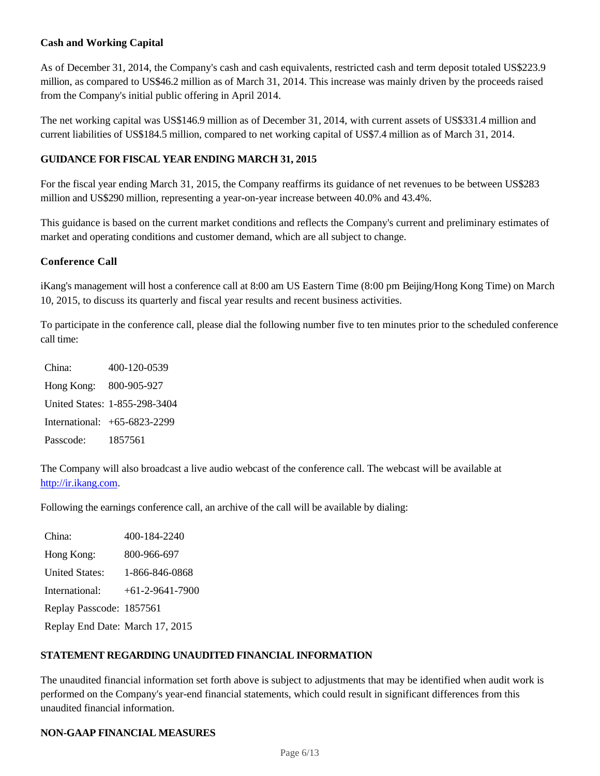## **Cash and Working Capital**

As of December 31, 2014, the Company's cash and cash equivalents, restricted cash and term deposit totaled US\$223.9 million, as compared to US\$46.2 million as of March 31, 2014. This increase was mainly driven by the proceeds raised from the Company's initial public offering in April 2014.

The net working capital was US\$146.9 million as of December 31, 2014, with current assets of US\$331.4 million and current liabilities of US\$184.5 million, compared to net working capital of US\$7.4 million as of March 31, 2014.

## **GUIDANCE FOR FISCAL YEAR ENDING MARCH 31, 2015**

For the fiscal year ending March 31, 2015, the Company reaffirms its guidance of net revenues to be between US\$283 million and US\$290 million, representing a year-on-year increase between 40.0% and 43.4%.

This guidance is based on the current market conditions and reflects the Company's current and preliminary estimates of market and operating conditions and customer demand, which are all subject to change.

## **Conference Call**

iKang's management will host a conference call at 8:00 am US Eastern Time (8:00 pm Beijing/Hong Kong Time) on March 10, 2015, to discuss its quarterly and fiscal year results and recent business activities.

To participate in the conference call, please dial the following number five to ten minutes prior to the scheduled conference call time:

China: 400-120-0539 Hong Kong: 800-905-927 United States: 1-855-298-3404 International: +65-6823-2299 Passcode: 1857561

The Company will also broadcast a live audio webcast of the conference call. The webcast will be available at http://ir.ikang.com.

Following the earnings conference call, an archive of the call will be available by dialing:

China: 400-184-2240 Hong Kong: 800-966-697 United States: 1-866-846-0868 International: +61-2-9641-7900 Replay Passcode: 1857561 Replay End Date: March 17, 2015

## **STATEMENT REGARDING UNAUDITED FINANCIAL INFORMATION**

The unaudited financial information set forth above is subject to adjustments that may be identified when audit work is performed on the Company's year-end financial statements, which could result in significant differences from this unaudited financial information.

#### **NON-GAAP FINANCIAL MEASURES**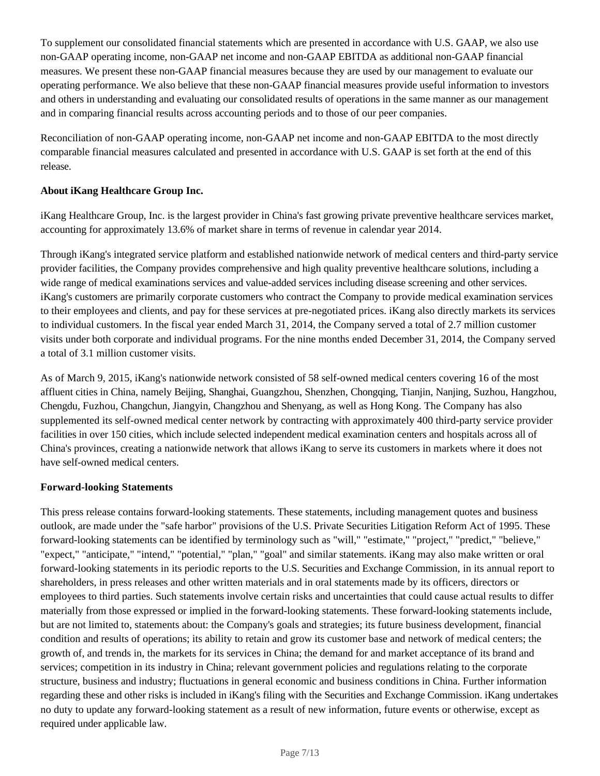To supplement our consolidated financial statements which are presented in accordance with U.S. GAAP, we also use non-GAAP operating income, non-GAAP net income and non-GAAP EBITDA as additional non-GAAP financial measures. We present these non-GAAP financial measures because they are used by our management to evaluate our operating performance. We also believe that these non-GAAP financial measures provide useful information to investors and others in understanding and evaluating our consolidated results of operations in the same manner as our management and in comparing financial results across accounting periods and to those of our peer companies.

Reconciliation of non-GAAP operating income, non-GAAP net income and non-GAAP EBITDA to the most directly comparable financial measures calculated and presented in accordance with U.S. GAAP is set forth at the end of this release.

## **About iKang Healthcare Group Inc.**

iKang Healthcare Group, Inc. is the largest provider in China's fast growing private preventive healthcare services market, accounting for approximately 13.6% of market share in terms of revenue in calendar year 2014.

Through iKang's integrated service platform and established nationwide network of medical centers and third-party service provider facilities, the Company provides comprehensive and high quality preventive healthcare solutions, including a wide range of medical examinations services and value-added services including disease screening and other services. iKang's customers are primarily corporate customers who contract the Company to provide medical examination services to their employees and clients, and pay for these services at pre-negotiated prices. iKang also directly markets its services to individual customers. In the fiscal year ended March 31, 2014, the Company served a total of 2.7 million customer visits under both corporate and individual programs. For the nine months ended December 31, 2014, the Company served a total of 3.1 million customer visits.

As of March 9, 2015, iKang's nationwide network consisted of 58 self-owned medical centers covering 16 of the most affluent cities in China, namely Beijing, Shanghai, Guangzhou, Shenzhen, Chongqing, Tianjin, Nanjing, Suzhou, Hangzhou, Chengdu, Fuzhou, Changchun, Jiangyin, Changzhou and Shenyang, as well as Hong Kong. The Company has also supplemented its self-owned medical center network by contracting with approximately 400 third-party service provider facilities in over 150 cities, which include selected independent medical examination centers and hospitals across all of China's provinces, creating a nationwide network that allows iKang to serve its customers in markets where it does not have self-owned medical centers.

#### **Forward-looking Statements**

This press release contains forward-looking statements. These statements, including management quotes and business outlook, are made under the "safe harbor" provisions of the U.S. Private Securities Litigation Reform Act of 1995. These forward-looking statements can be identified by terminology such as "will," "estimate," "project," "predict," "believe," "expect," "anticipate," "intend," "potential," "plan," "goal" and similar statements. iKang may also make written or oral forward-looking statements in its periodic reports to the U.S. Securities and Exchange Commission, in its annual report to shareholders, in press releases and other written materials and in oral statements made by its officers, directors or employees to third parties. Such statements involve certain risks and uncertainties that could cause actual results to differ materially from those expressed or implied in the forward-looking statements. These forward-looking statements include, but are not limited to, statements about: the Company's goals and strategies; its future business development, financial condition and results of operations; its ability to retain and grow its customer base and network of medical centers; the growth of, and trends in, the markets for its services in China; the demand for and market acceptance of its brand and services; competition in its industry in China; relevant government policies and regulations relating to the corporate structure, business and industry; fluctuations in general economic and business conditions in China. Further information regarding these and other risks is included in iKang's filing with the Securities and Exchange Commission. iKang undertakes no duty to update any forward-looking statement as a result of new information, future events or otherwise, except as required under applicable law.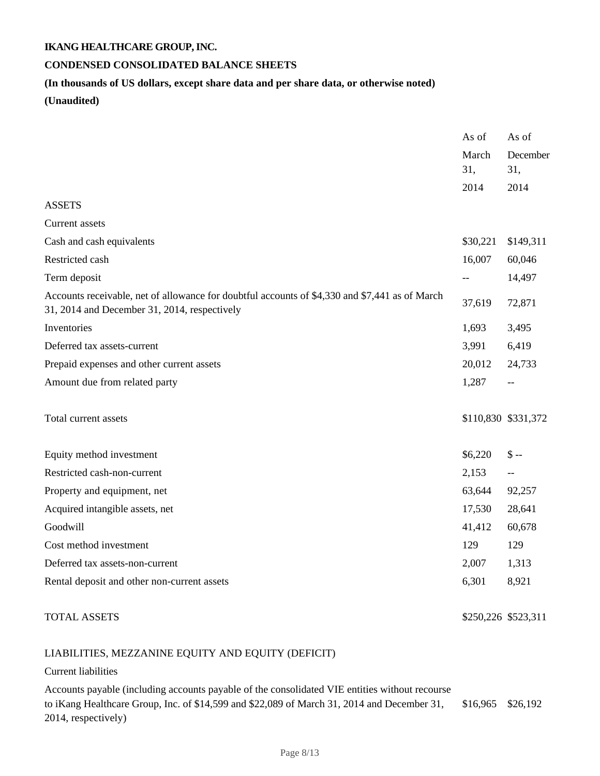## **CONDENSED CONSOLIDATED BALANCE SHEETS**

#### **(In thousands of US dollars, except share data and per share data, or otherwise noted)**

**(Unaudited)**

|                                                                                                                                                | As of    | As of               |
|------------------------------------------------------------------------------------------------------------------------------------------------|----------|---------------------|
|                                                                                                                                                | March    | December            |
|                                                                                                                                                | 31,      | 31,                 |
|                                                                                                                                                | 2014     | 2014                |
| <b>ASSETS</b>                                                                                                                                  |          |                     |
| Current assets                                                                                                                                 |          |                     |
| Cash and cash equivalents                                                                                                                      | \$30,221 | \$149,311           |
| Restricted cash                                                                                                                                | 16,007   | 60,046              |
| Term deposit                                                                                                                                   | $-$      | 14,497              |
| Accounts receivable, net of allowance for doubtful accounts of \$4,330 and \$7,441 as of March<br>31, 2014 and December 31, 2014, respectively | 37,619   | 72,871              |
| Inventories                                                                                                                                    | 1,693    | 3,495               |
| Deferred tax assets-current                                                                                                                    | 3,991    | 6,419               |
| Prepaid expenses and other current assets                                                                                                      | 20,012   | 24,733              |
| Amount due from related party                                                                                                                  | 1,287    | $- -$               |
| Total current assets                                                                                                                           |          | \$110,830 \$331,372 |
| Equity method investment                                                                                                                       | \$6,220  | $S -$               |
| Restricted cash-non-current                                                                                                                    | 2,153    | $ -$                |
| Property and equipment, net                                                                                                                    | 63,644   | 92,257              |
| Acquired intangible assets, net                                                                                                                | 17,530   | 28,641              |
| Goodwill                                                                                                                                       | 41,412   | 60,678              |
| Cost method investment                                                                                                                         | 129      | 129                 |
| Deferred tax assets-non-current                                                                                                                | 2,007    | 1,313               |
| Rental deposit and other non-current assets                                                                                                    | 6,301    | 8,921               |
|                                                                                                                                                |          |                     |

TOTAL ASSETS \$250,226 \$523,311

# LIABILITIES, MEZZANINE EQUITY AND EQUITY (DEFICIT)

#### Current liabilities

Accounts payable (including accounts payable of the consolidated VIE entities without recourse to iKang Healthcare Group, Inc. of \$14,599 and \$22,089 of March 31, 2014 and December 31, 2014, respectively) \$16,965 \$26,192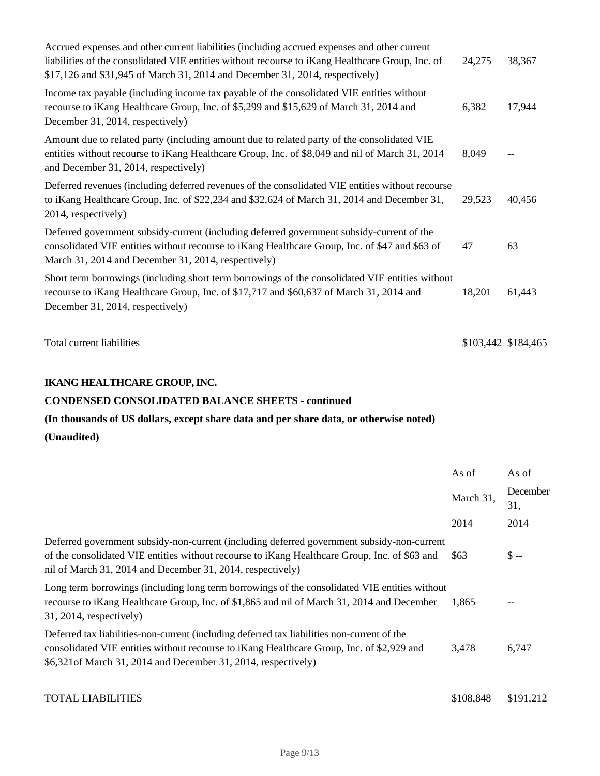| Accrued expenses and other current liabilities (including accrued expenses and other current<br>liabilities of the consolidated VIE entities without recourse to iKang Healthcare Group, Inc. of<br>\$17,126 and \$31,945 of March 31, 2014 and December 31, 2014, respectively) | 24,275 | 38,367              |
|----------------------------------------------------------------------------------------------------------------------------------------------------------------------------------------------------------------------------------------------------------------------------------|--------|---------------------|
| Income tax payable (including income tax payable of the consolidated VIE entities without<br>recourse to iKang Healthcare Group, Inc. of \$5,299 and \$15,629 of March 31, 2014 and<br>December 31, 2014, respectively)                                                          | 6,382  | 17,944              |
| Amount due to related party (including amount due to related party of the consolidated VIE<br>entities without recourse to iKang Healthcare Group, Inc. of \$8,049 and nil of March 31, 2014<br>and December 31, 2014, respectively)                                             | 8,049  |                     |
| Deferred revenues (including deferred revenues of the consolidated VIE entities without recourse<br>to iKang Healthcare Group, Inc. of \$22,234 and \$32,624 of March 31, 2014 and December 31,<br>2014, respectively)                                                           | 29,523 | 40,456              |
| Deferred government subsidy-current (including deferred government subsidy-current of the<br>consolidated VIE entities without recourse to iKang Healthcare Group, Inc. of \$47 and \$63 of<br>March 31, 2014 and December 31, 2014, respectively)                               | 47     | 63                  |
| Short term borrowings (including short term borrowings of the consolidated VIE entities without<br>recourse to iKang Healthcare Group, Inc. of \$17,717 and \$60,637 of March 31, 2014 and<br>December 31, 2014, respectively)                                                   | 18,201 | 61,443              |
| Total current liabilities                                                                                                                                                                                                                                                        |        | \$103,442 \$184,465 |

## **CONDENSED CONSOLIDATED BALANCE SHEETS - continued**

**(In thousands of US dollars, except share data and per share data, or otherwise noted)**

**(Unaudited)**

|                                                                                                                                                                                                                                                             | As of     | As of            |
|-------------------------------------------------------------------------------------------------------------------------------------------------------------------------------------------------------------------------------------------------------------|-----------|------------------|
|                                                                                                                                                                                                                                                             | March 31, | December<br>31,  |
|                                                                                                                                                                                                                                                             | 2014      | 2014             |
| Deferred government subsidy-non-current (including deferred government subsidy-non-current<br>of the consolidated VIE entities without recourse to iKang Healthcare Group, Inc. of \$63 and<br>nil of March 31, 2014 and December 31, 2014, respectively)   | \$63      | $\mathsf{\$}$ -- |
| Long term borrowings (including long term borrowings of the consolidated VIE entities without<br>recourse to iKang Healthcare Group, Inc. of \$1,865 and nil of March 31, 2014 and December<br>$31, 2014$ , respectively)                                   | 1,865     | $- -$            |
| Deferred tax liabilities-non-current (including deferred tax liabilities non-current of the<br>consolidated VIE entities without recourse to iKang Healthcare Group, Inc. of \$2,929 and<br>$$6,321$ of March 31, 2014 and December 31, 2014, respectively) | 3,478     | 6,747            |
| <b>TOTAL LIABILITIES</b>                                                                                                                                                                                                                                    | \$108,848 | \$191,212        |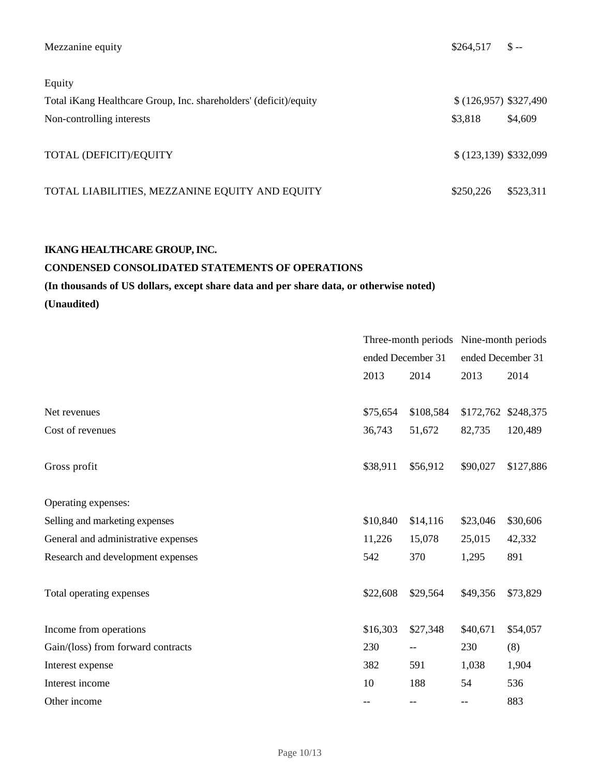| Mezzanine equity                                                  | \$264,517             | $S -$     |
|-------------------------------------------------------------------|-----------------------|-----------|
| Equity                                                            |                       |           |
| Total iKang Healthcare Group, Inc. shareholders' (deficit)/equity | $(126,957)$ \$327,490 |           |
| Non-controlling interests                                         | \$3,818               | \$4,609   |
| TOTAL (DEFICIT)/EQUITY                                            | \$(123,139) \$332,099 |           |
| TOTAL LIABILITIES, MEZZANINE EQUITY AND EQUITY                    | \$250,226             | \$523,311 |

## **CONDENSED CONSOLIDATED STATEMENTS OF OPERATIONS**

# **(In thousands of US dollars, except share data and per share data, or otherwise noted) (Unaudited)**

|                                     | Three-month periods Nine-month periods |                   |                   |                     |
|-------------------------------------|----------------------------------------|-------------------|-------------------|---------------------|
|                                     | ended December 31                      |                   | ended December 31 |                     |
|                                     | 2013                                   | 2014              | 2013              | 2014                |
|                                     |                                        |                   |                   |                     |
| Net revenues                        | \$75,654                               | \$108,584         |                   | \$172,762 \$248,375 |
| Cost of revenues                    | 36,743                                 | 51,672            | 82,735            | 120,489             |
| Gross profit                        | \$38,911                               | \$56,912          | \$90,027          | \$127,886           |
| Operating expenses:                 |                                        |                   |                   |                     |
| Selling and marketing expenses      | \$10,840                               | \$14,116          | \$23,046          | \$30,606            |
| General and administrative expenses | 11,226                                 | 15,078            | 25,015            | 42,332              |
| Research and development expenses   | 542                                    | 370               | 1,295             | 891                 |
| Total operating expenses            | \$22,608                               | \$29,564          | \$49,356          | \$73,829            |
| Income from operations              | \$16,303                               | \$27,348          | \$40,671          | \$54,057            |
| Gain/(loss) from forward contracts  | 230                                    | $\qquad \qquad -$ | 230               | (8)                 |
| Interest expense                    | 382                                    | 591               | 1,038             | 1,904               |
| Interest income                     | 10                                     | 188               | 54                | 536                 |
| Other income                        | $-$                                    | $\qquad \qquad -$ | $- -$             | 883                 |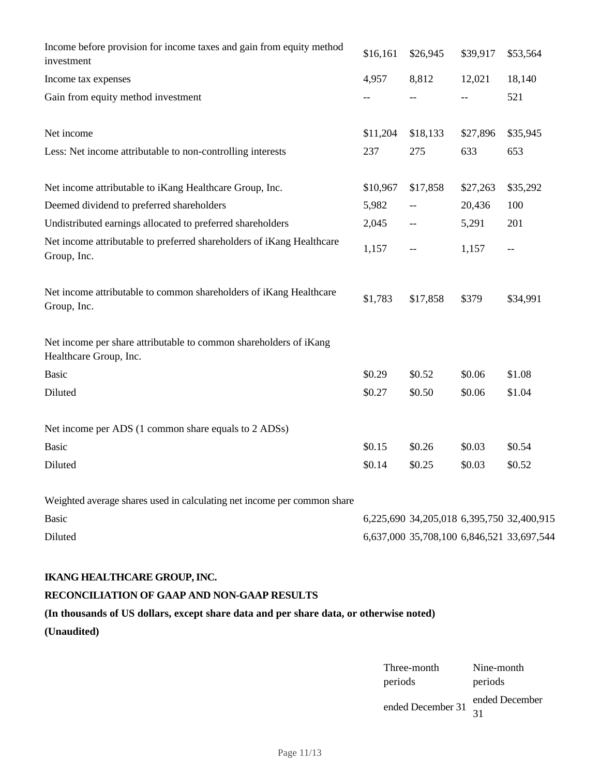| Income before provision for income taxes and gain from equity method<br>investment          | \$16,161 | \$26,945                                  | \$39,917 | \$53,564 |
|---------------------------------------------------------------------------------------------|----------|-------------------------------------------|----------|----------|
| Income tax expenses                                                                         | 4,957    | 8,812                                     | 12,021   | 18,140   |
| Gain from equity method investment                                                          | $-$      |                                           | $-$      | 521      |
| Net income                                                                                  | \$11,204 | \$18,133                                  | \$27,896 | \$35,945 |
| Less: Net income attributable to non-controlling interests                                  | 237      | 275                                       | 633      | 653      |
| Net income attributable to iKang Healthcare Group, Inc.                                     | \$10,967 | \$17,858                                  | \$27,263 | \$35,292 |
| Deemed dividend to preferred shareholders                                                   | 5,982    |                                           | 20,436   | 100      |
| Undistributed earnings allocated to preferred shareholders                                  | 2,045    | --                                        | 5,291    | 201      |
| Net income attributable to preferred shareholders of iKang Healthcare<br>Group, Inc.        | 1,157    | $-$                                       | 1,157    | $-$      |
| Net income attributable to common shareholders of iKang Healthcare<br>Group, Inc.           | \$1,783  | \$17,858                                  | \$379    | \$34,991 |
| Net income per share attributable to common shareholders of iKang<br>Healthcare Group, Inc. |          |                                           |          |          |
| Basic                                                                                       | \$0.29   | \$0.52                                    | \$0.06   | \$1.08   |
| Diluted                                                                                     | \$0.27   | \$0.50                                    | \$0.06   | \$1.04   |
| Net income per ADS (1 common share equals to 2 ADSs)                                        |          |                                           |          |          |
| <b>Basic</b>                                                                                | \$0.15   | \$0.26                                    | \$0.03   | \$0.54   |
| Diluted                                                                                     | \$0.14   | \$0.25                                    | \$0.03   | \$0.52   |
| Weighted average shares used in calculating net income per common share                     |          |                                           |          |          |
| <b>Basic</b>                                                                                |          | 6,225,690 34,205,018 6,395,750 32,400,915 |          |          |
| Diluted                                                                                     |          | 6,637,000 35,708,100 6,846,521 33,697,544 |          |          |

## **RECONCILIATION OF GAAP AND NON-GAAP RESULTS**

## **(In thousands of US dollars, except share data and per share data, or otherwise noted)**

**(Unaudited)**

| Three-month       | Nine-month           |
|-------------------|----------------------|
| periods           | periods              |
| ended December 31 | ended December<br>31 |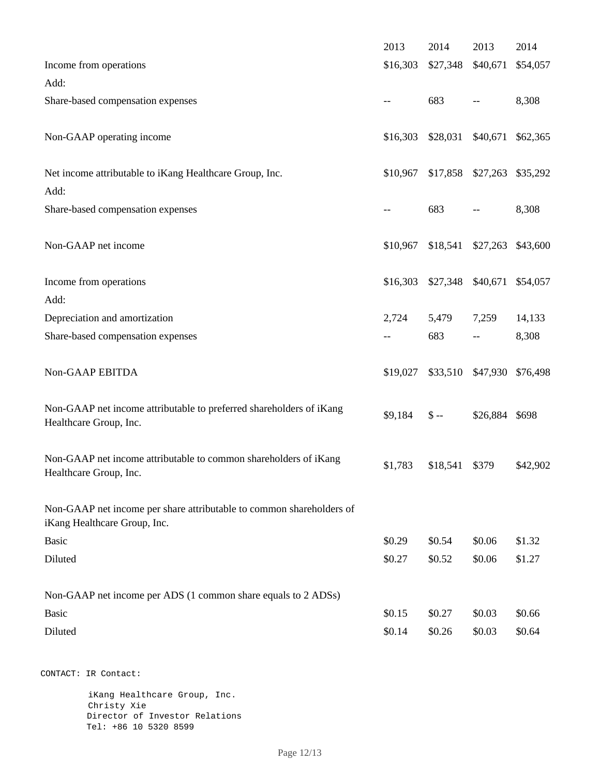|                                                                                                      | 2013     | 2014             | 2013                       | 2014              |
|------------------------------------------------------------------------------------------------------|----------|------------------|----------------------------|-------------------|
| Income from operations                                                                               | \$16,303 | \$27,348         | \$40,671                   | \$54,057          |
| Add:                                                                                                 |          |                  |                            |                   |
| Share-based compensation expenses                                                                    |          | 683              |                            | 8,308             |
| Non-GAAP operating income                                                                            | \$16,303 | \$28,031         | \$40,671                   | \$62,365          |
| Net income attributable to iKang Healthcare Group, Inc.<br>Add:                                      | \$10,967 |                  | \$17,858 \$27,263          | \$35,292          |
| Share-based compensation expenses                                                                    | --       | 683              |                            | 8,308             |
| Non-GAAP net income                                                                                  | \$10,967 | \$18,541         |                            | \$27,263 \$43,600 |
| Income from operations                                                                               | \$16,303 |                  | \$27,348 \$40,671 \$54,057 |                   |
| Add:                                                                                                 |          |                  |                            |                   |
| Depreciation and amortization                                                                        | 2,724    | 5,479            | 7,259                      | 14,133            |
| Share-based compensation expenses                                                                    |          | 683              |                            | 8,308             |
| Non-GAAP EBITDA                                                                                      | \$19,027 | \$33,510         | \$47,930                   | \$76,498          |
| Non-GAAP net income attributable to preferred shareholders of iKang<br>Healthcare Group, Inc.        | \$9,184  | $\mathcal{S}$ -- | \$26,884 \$698             |                   |
| Non-GAAP net income attributable to common shareholders of iKang<br>Healthcare Group, Inc.           | \$1,783  | \$18,541         | \$379                      | \$42,902          |
| Non-GAAP net income per share attributable to common shareholders of<br>iKang Healthcare Group, Inc. |          |                  |                            |                   |
| Basic                                                                                                | \$0.29   | \$0.54           | \$0.06                     | \$1.32            |
| Diluted                                                                                              | \$0.27   | \$0.52           | \$0.06                     | \$1.27            |
| Non-GAAP net income per ADS (1 common share equals to 2 ADSs)                                        |          |                  |                            |                   |
| Basic                                                                                                | \$0.15   | \$0.27           | \$0.03                     | \$0.66            |
| Diluted                                                                                              | \$0.14   | \$0.26           | \$0.03                     | \$0.64            |
| CONTACT: IR Contact:                                                                                 |          |                  |                            |                   |
| iKang Healthcare Group, Inc.<br>Christy Xie                                                          |          |                  |                            |                   |

 Director of Investor Relations Tel: +86 10 5320 8599